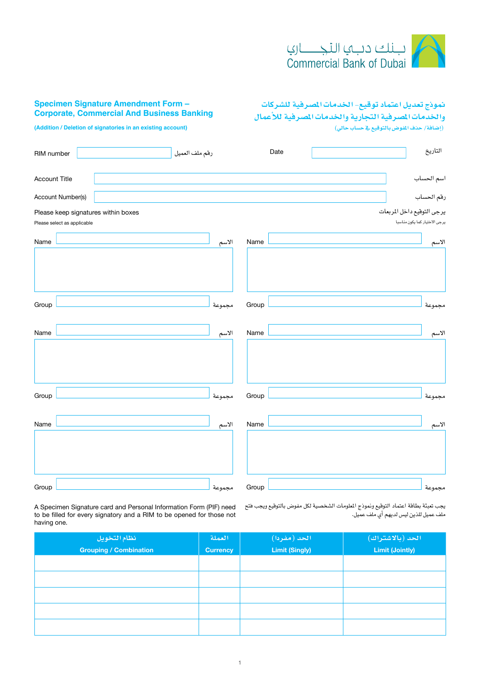

## **Specimen Signature Amendment Form -Corporate, Commercial And Business Banking**

**واخلدمات امل�صرفية التجارية واخلدمات امل�صرفية للأعمال )إ�ضافة/ حذف املفو�ض بالتوقيع يف ح�ساب حايل(**

**منوذج تعديل اعتماد توقيع- اخلدمات امل�صرفية لل�شركات** 

**(Addition / Deletion of signatories in an existing account)** 

| RIM number                                                         | رقم ملف العميل | Date  | التاريخ                                                     |
|--------------------------------------------------------------------|----------------|-------|-------------------------------------------------------------|
| <b>Account Title</b>                                               |                |       | اسم الحساب                                                  |
| Account Number(s)                                                  |                |       | رقم الحساب                                                  |
| Please keep signatures within boxes<br>Please select as applicable |                |       | يرجى التوقيع داخل المربعات<br>يرجى الاختيار كما يكون مناسبا |
| Name                                                               | الاسم          | Name  | الاسم                                                       |
|                                                                    |                |       |                                                             |
| Group                                                              | مجموعة         | Group | مجموعة                                                      |
| Name                                                               | الاسم          | Name  | الاسم                                                       |
|                                                                    |                |       |                                                             |
| Group                                                              | مجموعة         | Group | مجموعة                                                      |
| Name                                                               | الاسم          | Name  | الاسم                                                       |
|                                                                    |                |       |                                                             |
| Group                                                              | مجموعة         | Group | مجموعة                                                      |

يجب تعبئة بطاقة اعتماد التوقيع ونموذج الملومات الشخصية لكل مفوض بالتوقيع ويجب فتح A Specimen Signature card and Personal Information Form (PIF) need to be filled for every signatory and a RIM to be opened for those not having one.

ملف عميل للذين لي�س لديهم أي ملف عميل.

| نظام التخويل           | العملة          | الحد (مفردا).         | الحد (بالاشتراك)       |
|------------------------|-----------------|-----------------------|------------------------|
| Grouping / Combination | <b>Currency</b> | <b>Limit (Singly)</b> | <b>Limit (Jointly)</b> |
|                        |                 |                       |                        |
|                        |                 |                       |                        |
|                        |                 |                       |                        |
|                        |                 |                       |                        |
|                        |                 |                       |                        |
|                        |                 |                       |                        |